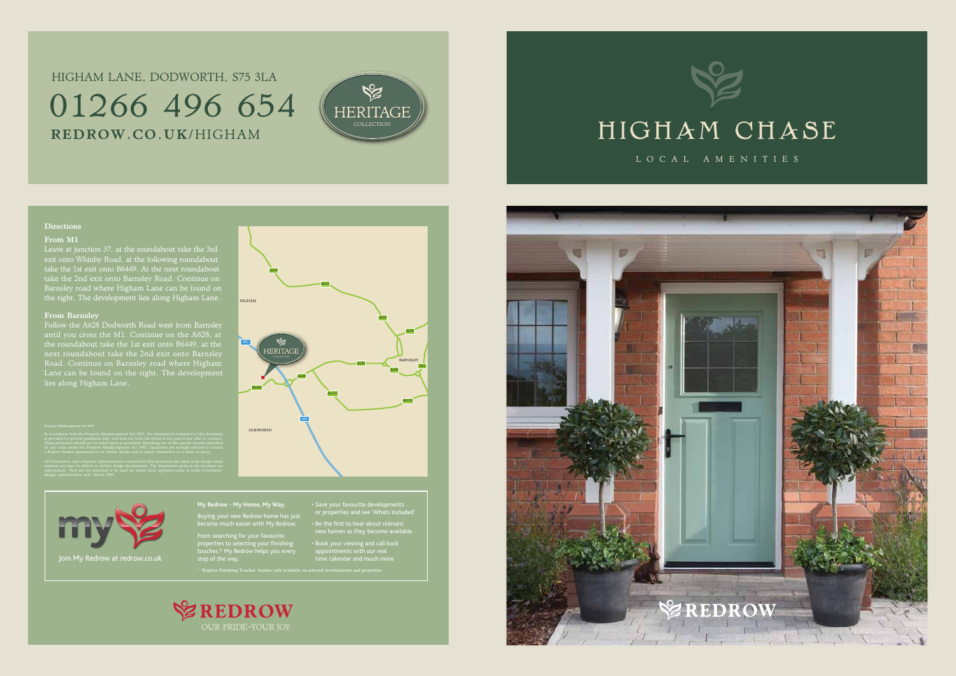

### **Directions**

BARNSLEY

DODWORTH

A635

A635

### HIGHAM A635 M1 HERITAGE  $A628$   $A61$ A628 B6449 A6133

A628

A6133

A635

M1

### From M1

Leave at junction 37, at the roundabout take the 3rd exit onto Whinby Road, at the following roundabout take the 1st exit onto B6449. At the next roundabout take the 2nd exit onto Barnsley Road. Continue on Barnsley road where Higham Lane can be found on the right. The development lies along Higham Lane.

### From Barnsley

Follow the A628 Dodworth Road west from Barnsley until you cross the M1. Continue on the A628, at the roundabout take the 1st exit onto B6449, at the Road. Continue on Barnsley road where Higham Lane can be found on the right. The development lies along Higham Lane.

These particulars should not be relied upon as accurately describing any of the specific matters described a Redrow Homes representative for further details and to satisfy themselves as to their accuracy.

## HIGHAM LANE, DODWORTH, S75 3LA 01266 496 654 REDROW.CO.UK/HIGHAM



**My Redrow - My Home, My Way.** Buying your new Redrow home has just

become much easier with My Redrow. From searching for your favourite

properties to selecting your finishing touches,\* My Redrow helps you every or properties and see 'Whats Included'

• Be the first to hear about relevant new homes as they become available

• Book your viewing and call back appointments with our real



\* 'Explore Finishing Touches' feature only available on selected developments and properties





LOCAL AMENITIES